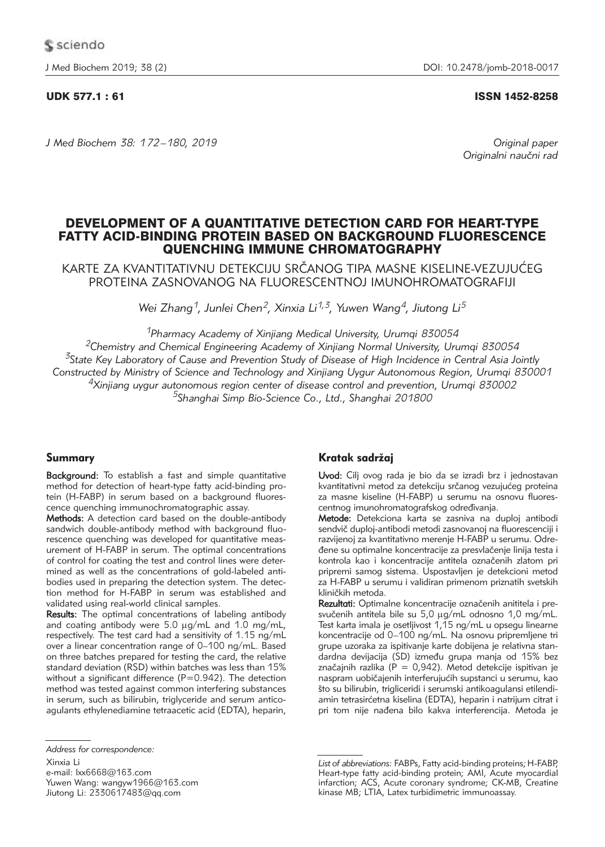# UDK 577.1 : 61 ISSN 1452-8258

*J Med Biochem 38: 172 –180, 2019 Original paper*

Originalni naučni rad

# DEVELOPMENT OF A QUANTITATIVE DETECTION CARD FOR HEART-TYPE FATTY ACID-BINDING PROTEIN BASED ON BACKGROUND FLUORESCENCE QUENCHING IMMUNE CHROMATOGRAPHY

KARTE ZA KVANTITATIVNU DETEKCIJU SRČANOG TIPA MASNE KISELINE-VEZUJUĆEG PROTEINA ZASNOVANOG NA FLUORESCENTNOJ IMUNOHROMATOGRAFIJI

*Wei Zhang1, Junlei Chen2, Xinxia Li1,3, Yuwen Wang4, Jiutong Li5*

*1Pharmacy Academy of Xinjiang Medical University, Urumqi 830054*

*2Chemistry and Chemical Engineering Academy of Xinjiang Normal University, Urumqi 830054 3State Key Laboratory of Cause and Prevention Study of Disease of High Incidence in Central Asia Jointly Constructed by Ministry of Science and Technology and Xinjiang Uygur Autonomous Region, Urumqi 830001 4Xinjiang uygur autonomous region center of disease control and prevention, Urumqi 830002 5Shanghai Simp Bio-Science Co., Ltd., Shanghai 201800*

# Summary

Background: To establish a fast and simple quantitative method for detection of heart-type fatty acid-binding protein (H-FABP) in serum based on a background fluorescence quenching immunochromatographic assay.

Methods: A detection card based on the double-antibody sandwich double-antibody method with background fluorescence quenching was developed for quantitative measurement of H-FABP in serum. The optimal concentrations of control for coating the test and control lines were determined as well as the concentrations of gold-labeled antibodies used in preparing the detection system. The detection method for H-FABP in serum was established and validated using real-world clinical samples.

Results: The optimal concentrations of labeling antibody and coating antibody were  $5.0 \mu g/mL$  and  $1.0 \mu g/mL$ , respectively. The test card had a sensitivity of 1.15 ng/mL over a linear concentration range of 0–100 ng/mL. Based on three batches prepared for testing the card, the relative standard deviation (RSD) within batches was less than 15% without a significant difference (P=0.942). The detection method was tested against common interfering substances in serum, such as bilirubin, triglyceride and serum anticoagulants ethylenediamine tetraacetic acid (EDTA), heparin,

Xinxia Li e-mail: lxx6668@163.com Yuwen Wang: wangyw1966@163.com Jiutong Li:  $2330617483@qq.com$ 

# Kratak sadržai

Uvod: Cilj ovog rada je bio da se izradi brz i jednostavan kvantitativni metod za detekciju srčanog vezujućeg proteina za masne kiseline (H-FABP) u serumu na osnovu fluorescentnog imunohromatografskog određivanja.

Metode: Detekciona karta se zasniva na duploj antibodi sendvič duploj-antibodi metodi zasnovanoj na fluorescenciji i razvijenoj za kvantitativno merenje H-FABP u serumu. Odre đene su optimalne koncentracije za presvlačenje linija testa i kontrola kao i koncentracije antitela označenih zlatom pri pripremi samog sistema. Uspostavljen je detekcioni metod za H-FABP u serumu i validiran primenom priznatih svetskih kliničkih metoda.

Rezultati: Optimalne koncentracije označenih anititela i presvučenih antitela bile su 5,0 µg/mL odnosno 1,0 mg/mL. Test karta imala je osetljivost 1,15 ng/mL u opsegu linearne koncentracije od 0–100 ng/mL. Na osnovu pripremljene tri grupe uzoraka za ispitivanje karte dobijena je relativna standardna devijacija (SD) između grupa manja od 15% bez značajnih razlika (P = 0,942). Metod detekcije ispitivan je naspram uobičajenih interferujućih supstanci u serumu, kao što su bilirubin, trigliceridi i serumski antikoagulansi etilendiamin tetrasirćetna kiselina (EDTA), heparin i natrijum citrat i pri tom nije nađena bilo kakva interferencija. Metoda je

*Address for correspondence:*

List of abbreviations: FABPs, Fatty acid-binding proteins; H-FABP, Heart-type fatty acid-binding protein; AMI, Acute myocardial infarction; ACS, Acute coronary syndrome; CK-MB, Creatine kinase MB; LTIA, Latex turbidimetric immunoassay.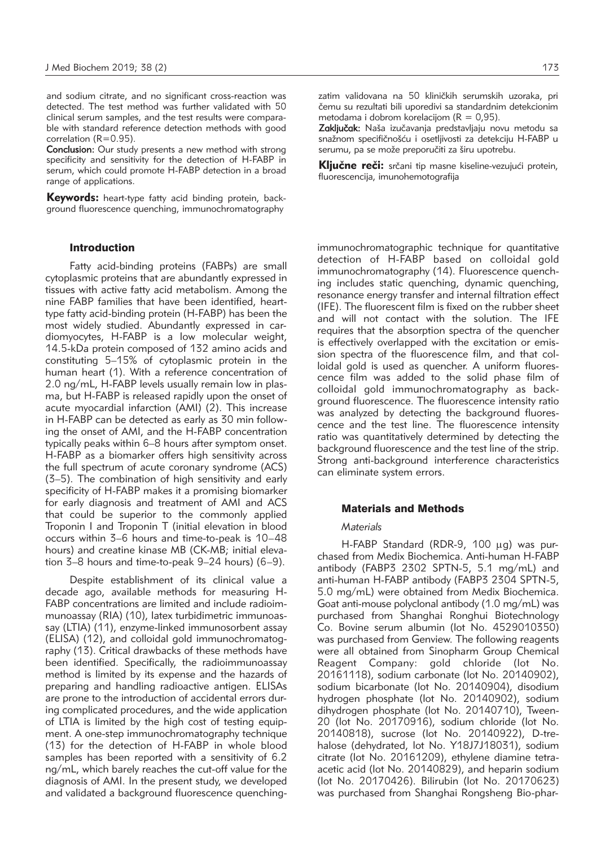and sodium citrate, and no significant cross-reaction was detected. The test method was further validated with 50 clinical serum samples, and the test results were comparable with standard reference detection methods with good correlation (R=0.95).

Conclusion: Our study presents a new method with strong specificity and sensitivity for the detection of H-FABP in serum, which could promote H-FABP detection in a broad range of applications.

Keywords: heart-type fatty acid binding protein, background fluorescence quenching, immunochromatography

#### Introduction

Fatty acid-binding proteins (FABPs) are small cytoplasmic proteins that are abundantly expressed in tissues with active fatty acid metabolism. Among the nine FABP families that have been identified, hearttype fatty acid-binding protein (H-FABP) has been the most widely studied. Abundantly expressed in cardiomyocytes, H-FABP is a low molecular weight, 14.5-kDa protein composed of 132 amino acids and constituting 5–15% of cytoplasmic protein in the human heart (1). With a reference concentration of 2.0 ng/mL, H-FABP levels usually remain low in plasma, but H-FABP is released rapidly upon the onset of acute myocardial infarction (AMI) (2). This increase in H-FABP can be detected as early as 30 min following the onset of AMI, and the H-FABP concentration typically peaks within 6–8 hours after symptom onset. H-FABP as a biomarker offers high sensitivity across the full spectrum of acute coronary syndrome (ACS) (3–5). The combination of high sensitivity and early specificity of H-FABP makes it a promising biomarker for early diagnosis and treatment of AMI and ACS that could be superior to the commonly applied Troponin I and Troponin T (initial elevation in blood occurs within 3–6 hours and time-to-peak is 10–48 hours) and creatine kinase MB (CK-MB; initial elevation 3–8 hours and time-to-peak 9–24 hours) (6–9).

Despite establishment of its clinical value a decade ago, available methods for measuring H-FABP concentrations are limited and include radioimmunoassay (RIA) (10), latex turbidimetric immunoassay (LTIA) (11), enzyme-linked immunosorbent assay (ELISA) (12), and colloidal gold immunochromatography (13). Critical drawbacks of these methods have been identified. Specifically, the radioimmunoassay method is limited by its expense and the hazards of preparing and handling radioactive antigen. ELISAs are prone to the introduction of accidental errors during complicated procedures, and the wide application of LTIA is limited by the high cost of testing equipment. A one-step immunochromatography technique (13) for the detection of H-FABP in whole blood samples has been reported with a sensitivity of 6.2 ng/mL, which barely reaches the cut-off value for the diagnosis of AMI. In the present study, we developed and validated a background fluorescence quenchingzatim validovana na 50 kliničkih serumskih uzoraka, pri čemu su rezultati bili uporedivi sa standardnim detekcionim metodama i dobrom korelacijom ( $R = 0.95$ ).

Zaključak: Naša izučavanja predstavljaju novu metodu sa snažnom specifičnošću i osetlijvosti za detekciju H-FABP u serumu, pa se može preporučiti za širu upotrebu.

Ključne reči: srčani tip masne kiseline-vezujući protein, fluorescencija, imunohemotografija

immunochromatographic technique for quantitative detection of H-FABP based on colloidal gold immuno chromatography (14). Fluorescence quenching includes static quenching, dynamic quenching, resonance energy transfer and internal filtration effect (IFE). The fluorescent film is fixed on the rubber sheet and will not contact with the solution. The IFE requires that the absorption spectra of the quencher is effectively overlapped with the excitation or emission spectra of the fluorescence film, and that colloidal gold is used as quencher. A uniform fluorescence film was added to the solid phase film of colloidal gold immunochromatography as background fluorescence. The fluorescence intensity ratio was analyzed by detecting the background fluorescence and the test line. The fluorescence intensity ratio was quantitatively determined by detecting the background fluorescence and the test line of the strip. Strong anti-background interference characteristics can eliminate system errors.

## Materials and Methods

# *Materials*

H-FABP Standard (RDR-9, 100 µg) was purchased from Medix Biochemica. Anti-human H-FABP antibody (FABP3 2302 SPTN-5, 5.1 mg/mL) and anti-human H-FABP antibody (FABP3 2304 SPTN-5, 5.0 mg/mL) were obtained from Medix Biochemica. Goat anti-mouse polyclonal antibody (1.0 mg/mL) was purchased from Shanghai Ronghui Biotechnology Co. Bovine serum albumin (lot No. 4529010350) was purchased from Genview. The following reagents were all obtained from Sinopharm Group Chemical Reagent Company: gold chloride (lot No. 20161118), sodium carbonate (lot No. 20140902), sodium bicarbonate (lot No. 20140904), disodium hydrogen phosphate (lot No. 20140902), sodium dihydrogen phosphate (lot No. 20140710), Tween-20 (lot No. 20170916), sodium chloride (lot No. 20140818), sucrose (lot No. 20140922), D-trehalose (dehydrated, lot No. Y18J7J18031), sodium citrate (lot No. 20161209), ethylene diamine tetraacetic acid (lot No. 20140829), and heparin sodium (lot No. 20170426). Bilirubin (lot No. 20170623) was purchased from Shanghai Rongsheng Bio-phar-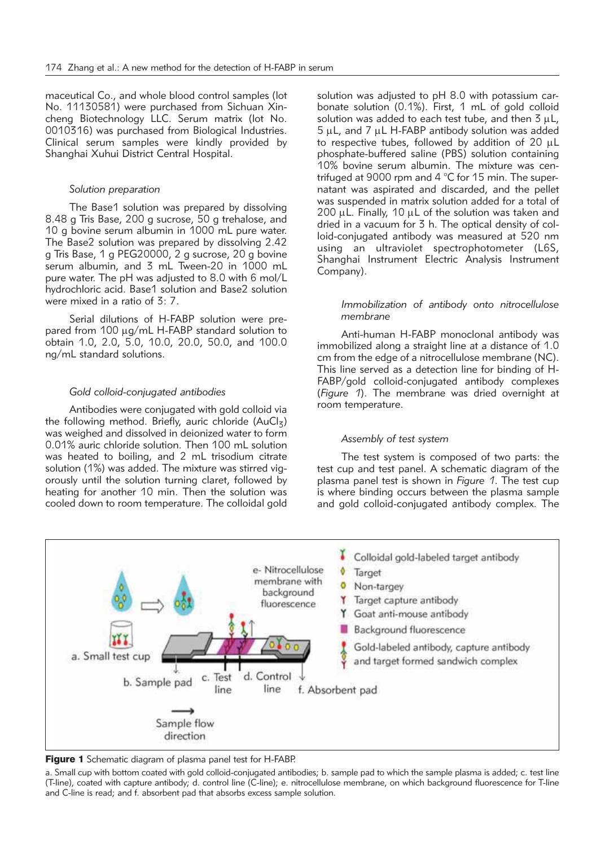maceutical Co., and whole blood control samples (lot No. 11130581) were purchased from Sichuan Xincheng Biotechnology LLC. Serum matrix (lot No. 0010316) was purchased from Biological Industries. Clinical serum samples were kindly provided by Shanghai Xuhui District Central Hospital.

#### *Solution preparation*

The Base1 solution was prepared by dissolving 8.48 g Tris Base, 200 g sucrose, 50 g trehalose, and 10 g bovine serum albumin in 1000 mL pure water. The Base2 solution was prepared by dissolving 2.42 g Tris Base, 1 g PEG20000, 2 g sucrose, 20 g bovine serum albumin, and 3 mL Tween-20 in 1000 mL pure water. The pH was adjusted to 8.0 with 6 mol/L hydrochloric acid. Base1 solution and Base2 solution were mixed in a ratio of 3: 7.

Serial dilutions of H-FABP solution were prepared from 100  $\mu$ g/mL H-FABP standard solution to obtain 1.0, 2.0, 5.0, 10.0, 20.0, 50.0, and 100.0 ng/mL standard solutions.

## *Gold colloid-conjugated antibodies*

Antibodies were conjugated with gold colloid via the following method. Briefly, auric chloride ( $AuCl<sub>z</sub>$ ) was weighed and dissolved in deionized water to form 0.01% auric chloride solution. Then 100 mL solution was heated to boiling, and 2 mL trisodium citrate solution (1%) was added. The mixture was stirred vigorously until the solution turning claret, followed by heating for another 10 min. Then the solution was cooled down to room temperature. The colloidal gold

solution was adjusted to pH 8.0 with potassium carbonate solution (0.1%). First, 1 mL of gold colloid solution was added to each test tube, and then  $3 \mu L$ ,  $5 \mu L$ , and 7  $\mu L$  H-FABP antibody solution was added to respective tubes, followed by addition of 20  $\mu$ L phosphate-buffered saline (PBS) solution containing 10% bovine serum albumin. The mixture was centrifuged at 9000 rpm and 4 °C for 15 min. The supernatant was aspirated and discarded, and the pellet was suspended in matrix solution added for a total of 200  $\mu$ L. Finally, 10  $\mu$ L of the solution was taken and dried in a vacuum for 3 h. The optical density of colloid-conjugated antibody was measured at 520 nm using an ultraviolet spectrophotometer (L6S, Shanghai Instrument Electric Analysis Instrument Company).

## *Immobilization of antibody onto nitrocellulose membrane*

Anti-human H-FABP monoclonal antibody was immobilized along a straight line at a distance of 1.0 cm from the edge of a nitrocellulose membrane (NC). This line served as a detection line for binding of H-FABP/gold colloid-conjugated antibody complexes (*Figure 1*). The membrane was dried overnight at room temperature.

#### *Assembly of test system*

The test system is composed of two parts: the test cup and test panel. A schematic diagram of the plasma panel test is shown in *Figure 1*. The test cup is where binding occurs between the plasma sample and gold colloid-conjugated antibody complex. The



Figure 1 Schematic diagram of plasma panel test for H-FABP.

a. Small cup with bottom coated with gold colloid-conjugated antibodies; b. sample pad to which the sample plasma is added; c. test line (T-line), coated with capture antibody; d. control line (C-line); e. nitrocellulose membrane, on which background fluorescence for T-line and C-line is read; and f. absorbent pad that absorbs excess sample solution.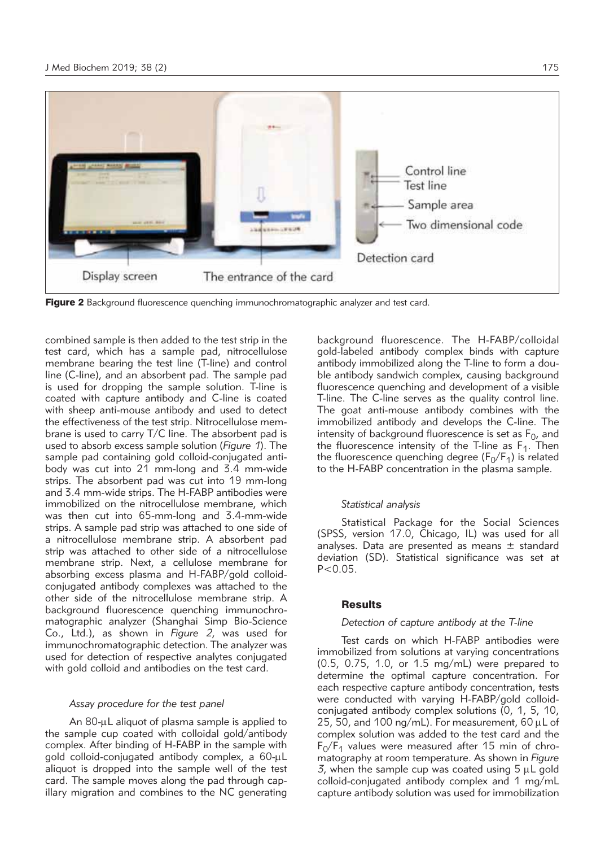

**Figure 2** Background fluorescence quenching immunochromatographic analyzer and test card.

combined sample is then added to the test strip in the test card, which has a sample pad, nitrocellulose membrane bearing the test line (T-line) and control line (C-line), and an absorbent pad. The sample pad is used for dropping the sample solution. T-line is coated with capture antibody and C-line is coated with sheep anti-mouse antibody and used to detect the effectiveness of the test strip. Nitrocellulose membrane is used to carry T/C line. The absorbent pad is used to absorb excess sample solution (*Figure 1*). The sample pad containing gold colloid-conjugated antibody was cut into 21 mm-long and 3.4 mm-wide strips. The absorbent pad was cut into 19 mm-long and 3.4 mm-wide strips. The H-FABP antibodies were immobilized on the nitrocellulose membrane, which was then cut into 65-mm-long and 3.4-mm-wide strips. A sample pad strip was attached to one side of a nitrocellulose membrane strip. A absorbent pad strip was attached to other side of a nitrocellulose membrane strip. Next, a cellulose membrane for absorbing excess plasma and H-FABP/gold colloidconjugated antibody complexes was attached to the other side of the nitrocellulose membrane strip. A background fluorescence quenching immunochromatographic analyzer (Shanghai Simp Bio-Science Co., Ltd.), as shown in *Figure 2*, was used for immuno chromato graphic detection. The analyzer was used for detection of respective analytes conjugated with gold colloid and antibodies on the test card.

#### *Assay procedure for the test panel*

An 80-uL aliquot of plasma sample is applied to the sample cup coated with colloidal gold/antibody complex. After binding of H-FABP in the sample with gold colloid-conjugated antibody complex, a 60-uL aliquot is dropped into the sample well of the test card. The sample moves along the pad through capillary migration and combines to the NC generating

background fluorescence. The H-FABP/colloidal gold-labeled antibody complex binds with capture antibody immobilized along the T-line to form a double antibody sandwich complex, causing background fluorescence quenching and development of a visible T-line. The C-line serves as the quality control line. The goat anti-mouse antibody combines with the immobilized antibody and develops the C-line. The intensity of background fluorescence is set as  $F_0$ , and the fluorescence intensity of the T-line as  $F_1$ . Then the fluorescence quenching degree ( $F_0/F_1$ ) is related to the H-FABP concentration in the plasma sample.

### *Statistical analysis*

Statistical Package for the Social Sciences (SPSS, version 17.0, Chicago, IL) was used for all analyses. Data are presented as means  $\pm$  standard deviation (SD). Statistical significance was set at  $P < 0.05$ .

#### Results

## *Detection of capture antibody at the T-line*

Test cards on which H-FABP antibodies were immobilized from solutions at varying concentrations (0.5, 0.75, 1.0, or 1.5 mg/mL) were prepared to determine the optimal capture concentration. For each respective capture antibody concentration, tests were conducted with varying H-FABP/gold colloidconjugated antibody complex solutions (0, 1, 5, 10, 25, 50, and 100  $\mu$ <sup>-</sup>mL). For measurement, 60  $\mu$ L of complex solution was added to the test card and the  $F_0/F_1$  values were measured after 15 min of chromatography at room temperature. As shown in *Figure 3*, when the sample cup was coated using  $5 \mu L$  gold colloid-conjugated antibody complex and 1 mg/mL capture antibody solution was used for immobilization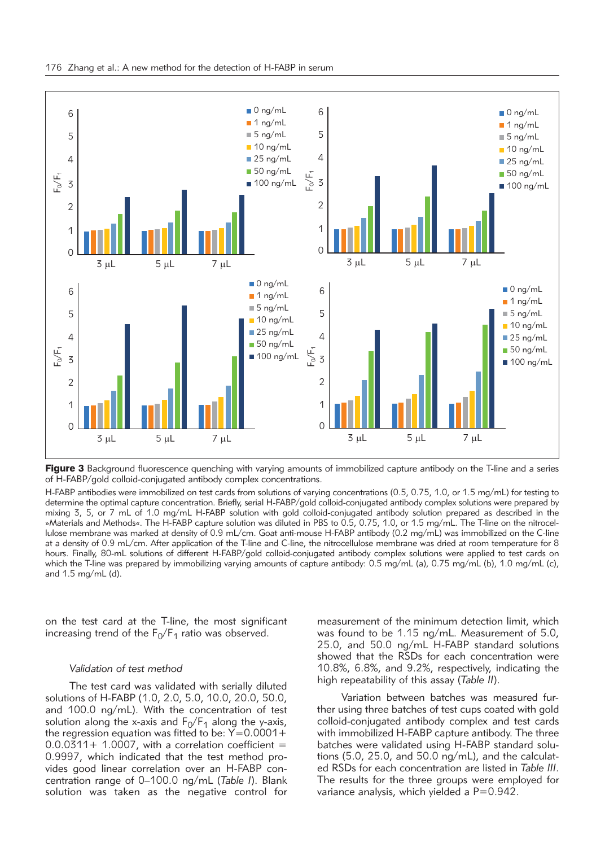

Figure 3 Background fluorescence quenching with varying amounts of immobilized capture antibody on the T-line and a series of H-FABP/gold colloid-conjugated antibody complex concentrations.

H-FABP antibodies were immobilized on test cards from solutions of varying concentrations (0.5, 0.75, 1.0, or 1.5 mg/mL) for testing to determine the optimal capture concentration. Briefly, serial H-FABP/gold colloid-conjugated antibody complex solutions were prepared by mixing 3, 5, or 7 mL of 1.0 mg/mL H-FABP solution with gold colloid-conjugated antibody solution prepared as described in the »Materials and Methods«. The H-FABP capture solution was diluted in PBS to 0.5, 0.75, 1.0, or 1.5 mg/mL. The T-line on the nitrocellulose membrane was marked at density of 0.9 mL/cm. Goat anti-mouse H-FABP antibody (0.2 mg/mL) was immobilized on the C-line at a density of 0.9 mL/cm. After application of the T-line and C-line, the nitrocellulose membrane was dried at room temperature for 8 hours. Finally, 80-mL solutions of different H-FABP/gold colloid-conjugated antibody complex solutions were applied to test cards on which the T-line was prepared by immobilizing varying amounts of capture antibody: 0.5 mg/mL (a), 0.75 mg/mL (b), 1.0 mg/mL (c), and 1.5 mg/mL (d).

on the test card at the T-line, the most significant increasing trend of the  $F_0/F_1$  ratio was observed.

#### *Validation of test method*

The test card was validated with serially diluted solutions of H-FABP (1.0, 2.0, 5.0, 10.0, 20.0, 50.0, and 100.0 ng/mL). With the concentration of test solution along the x-axis and  $F_0/F_1$  along the y-axis, the regression equation was fitted to be:  $Y=0.0001+$  $0.0.0311+ 1.0007$ , with a correlation coefficient = 0.9997, which indicated that the test method provides good linear correlation over an H-FABP concentration range of 0–100.0 ng/mL (*Table I*). Blank solution was taken as the negative control for measurement of the minimum detection limit, which was found to be 1.15 ng/mL. Measurement of 5.0, 25.0, and 50.0 ng/mL H-FABP standard solutions showed that the RSDs for each concentration were 10.8%, 6.8%, and 9.2%, respectively, indicating the high repeatability of this assay (*Table II*).

Variation between batches was measured further using three batches of test cups coated with gold colloid-conjugated antibody complex and test cards with immobilized H-FABP capture antibody. The three batches were validated using H-FABP standard solutions (5.0, 25.0, and 50.0 ng/mL), and the calculated RSDs for each concentration are listed in *Table III*. The results for the three groups were employed for variance analysis, which yielded a P=0.942.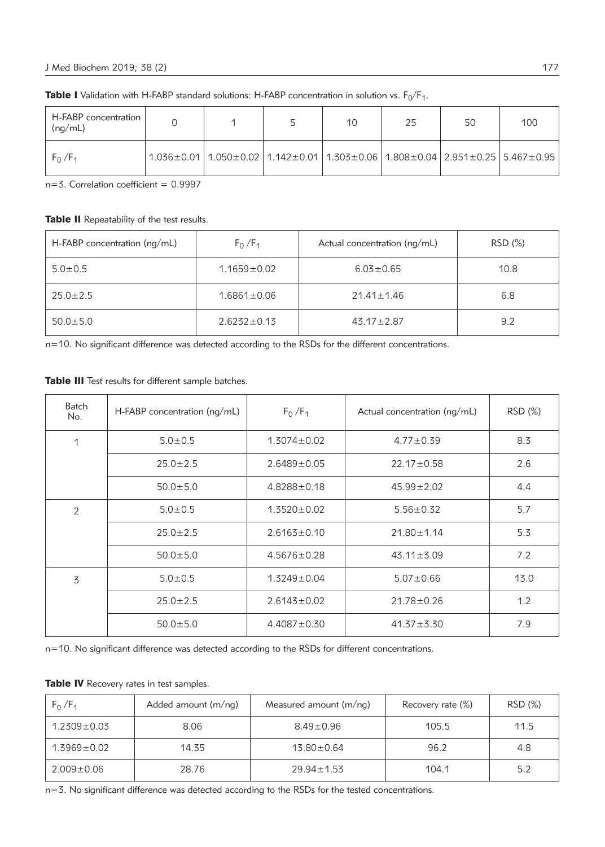| H-FABP concentration<br>(ng/mL) |                                                                                                                                    | 10 | 25 | 50 | 100 |
|---------------------------------|------------------------------------------------------------------------------------------------------------------------------------|----|----|----|-----|
| $F_0/F_1$                       | $1.036 \pm 0.01$   $1.050 \pm 0.02$   $1.142 \pm 0.01$   $1.303 \pm 0.06$   $1.808 \pm 0.04$   $2.951 \pm 0.25$   $5.467 \pm 0.95$ |    |    |    |     |

**Table I** Validation with H-FABP standard solutions: H-FABP concentration in solution vs.  $F_0/F_1$ .

 $n=3$ . Correlation coefficient = 0.9997

# Table II Repeatability of the test results.

| $H-FABP$ concentration ( $nq/mL$ ) | $F_0/F_1$         | Actual concentration (ng/mL) | RSD (%) |
|------------------------------------|-------------------|------------------------------|---------|
| $5.0 \pm 0.5$                      | $1.1659 \pm 0.02$ | $6.03 \pm 0.65$              | 10.8    |
| $25.0 \pm 2.5$                     | $1.6861 \pm 0.06$ | $21.41 \pm 1.46$             | 6.8     |
| $50.0 \pm 5.0$                     | $2.6232 \pm 0.13$ | $43.17 \pm 2.87$             | 9.2     |

n=10. No significant difference was detected according to the RSDs for the different concentrations.

Table III Test results for different sample batches.

| Batch<br>No. | $H$ -FABP concentration ( $nq/mL$ ) | $F_0/F_1$         | Actual concentration (ng/mL) | RSD (%) |
|--------------|-------------------------------------|-------------------|------------------------------|---------|
| 1            | $5.0 \pm 0.5$                       | $1.3074 \pm 0.02$ | $4.77 \pm 0.39$              | 8.3     |
|              | $25.0 \pm 2.5$                      | $2.6489 \pm 0.05$ | $22.17 \pm 0.58$             | 2.6     |
|              | $50.0 \pm 5.0$                      | $4.8288 \pm 0.18$ | $45.99 \pm 2.02$             | 4.4     |
| 2            | $5.0 \pm 0.5$                       | $1.3520 \pm 0.02$ | $5.56 \pm 0.32$              | 5.7     |
|              | $25.0 \pm 2.5$                      | $2.6163 \pm 0.10$ | $21.80 \pm 1.14$             | 5.3     |
|              | $50.0 \pm 5.0$                      | $4.5676 \pm 0.28$ | $43.11 \pm 3.09$             | 7.2     |
| 3            | $5.0 \pm 0.5$                       | $1.3249 \pm 0.04$ | $5.07 \pm 0.66$              | 13.0    |
|              | $25.0 \pm 2.5$                      | $2.6143 \pm 0.02$ | $21.78 \pm 0.26$             | 1.2     |
|              | $50.0 \pm 5.0$                      | $4.4087 \pm 0.30$ | $41.37 \pm 3.30$             | 7.9     |

n=10. No significant difference was detected according to the RSDs for different concentrations.

|  |  | Table IV Recovery rates in test samples. |  |  |  |  |  |
|--|--|------------------------------------------|--|--|--|--|--|
|--|--|------------------------------------------|--|--|--|--|--|

| $F_0/F_1$         | Added amount $(m/ng)$ | Measured amount $(m/nq)$ | Recovery rate (%) | RSD (%) |
|-------------------|-----------------------|--------------------------|-------------------|---------|
| $1.2309 \pm 0.03$ | 8.06                  | $8.49 \pm 0.96$          | 105.5             | 11.5    |
| $1.3969 \pm 0.02$ | 14.35                 | $13.80 \pm 0.64$         | 96.2              | 4.8     |
| $2.009 \pm 0.06$  | 28.76                 | $29.94 \pm 1.53$         | 104.1             | 5.2     |

n=3. No significant difference was detected according to the RSDs for the tested concentrations.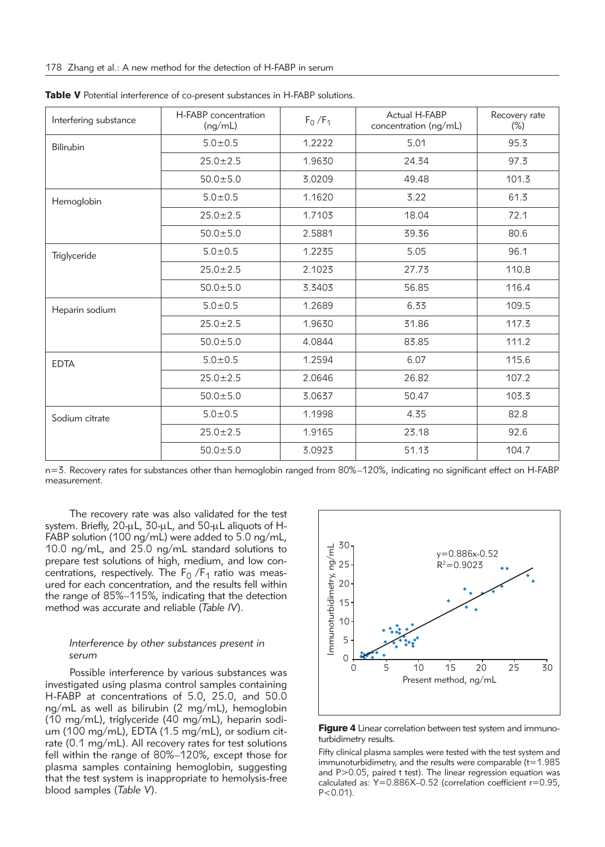| Interfering substance | H-FABP concentration<br>(nq/mL) | $F_0/F_1$ | Actual H-FABP<br>concentration (ng/mL) | Recovery rate<br>$(\%)$ |
|-----------------------|---------------------------------|-----------|----------------------------------------|-------------------------|
| <b>Bilirubin</b>      | $5.0 \pm 0.5$                   | 1.2222    | 5.01                                   | 95.3                    |
|                       | $25.0 \pm 2.5$                  | 1.9630    | 24.34                                  | 97.3                    |
|                       | $50.0 \pm 5.0$                  | 3.0209    | 49.48                                  | 101.3                   |
| Hemoglobin            | $5.0 + 0.5$                     | 1.1620    | 3.22                                   | 61.3                    |
|                       | $25.0 \pm 2.5$                  | 1.7103    | 18.04                                  | 72.1                    |
|                       | $50.0 \pm 5.0$                  | 2.5881    | 39.36                                  | 80.6                    |
| Triglyceride          | $5.0 \pm 0.5$                   | 1.2235    | 5.05                                   | 96.1                    |
|                       | $25.0 \pm 2.5$                  | 2.1023    | 27.73                                  | 110.8                   |
|                       | $50.0 \pm 5.0$                  | 3.3403    | 56.85                                  | 116.4                   |
| Heparin sodium        | $5.0 \pm 0.5$                   | 1.2689    | 6.33                                   | 109.5                   |
|                       | $25.0 \pm 2.5$                  | 1.9630    | 31.86                                  | 117.3                   |
|                       | $50.0 \pm 5.0$                  | 4.0844    | 83.85                                  | 111.2                   |
| <b>EDTA</b>           | $5.0 + 0.5$                     | 1.2594    | 6.07                                   | 115.6                   |
|                       | $25.0 \pm 2.5$                  | 2.0646    | 26.82                                  | 107.2                   |
|                       | $50.0 \pm 5.0$                  | 3.0637    | 50.47                                  | 103.3                   |
| Sodium citrate        | $5.0 \pm 0.5$                   | 1.1998    | 4.35                                   | 82.8                    |
|                       | $25.0 \pm 2.5$                  | 1.9165    | 23.18                                  | 92.6                    |
|                       | $50.0 \pm 5.0$                  | 3.0923    | 51.13                                  | 104.7                   |

Table V Potential interference of co-present substances in H-FABP solutions.

n=3. Recovery rates for substances other than hemoglobin ranged from 80%–120%, indicating no significant effect on H-FABP measurement.

The recovery rate was also validated for the test system. Briefly,  $20-\mu L$ ,  $30-\mu L$ , and  $50-\mu L$  aliquots of H-FABP solution (100 ng/mL) were added to 5.0 ng/mL, 10.0 ng/mL, and 25.0 ng/mL standard solutions to prepare test solutions of high, medium, and low concentrations, respectively. The  $F_0/F_1$  ratio was measured for each concentration, and the results fell within the range of 85%–115%, indicating that the detection method was accurate and reliable (*Table IV*).

## *Interference by other substances present in serum*

Possible interference by various substances was investigated using plasma control samples containing H-FABP at concentrations of 5.0, 25.0, and 50.0 ng/mL as well as bilirubin (2 mg/mL), hemoglobin (10 mg/mL), triglyceride (40 mg/mL), heparin sodium (100 mg/mL), EDTA (1.5 mg/mL), or sodium citrate (0.1 mg/mL). All recovery rates for test solutions fell within the range of 80%–120%, except those for plasma samples containing hemoglobin, suggesting that the test system is inappropriate to hemolysis-free blood samples (*Table V*).





Fifty clinical plasma samples were tested with the test system and immunoturbidimetry, and the results were comparable  $(t=1.985)$ and P>0.05, paired t test). The linear regression equation was calculated as:  $Y=0.886X-0.52$  (correlation coefficient  $r=0.95$ ,  $P < 0.01$ ).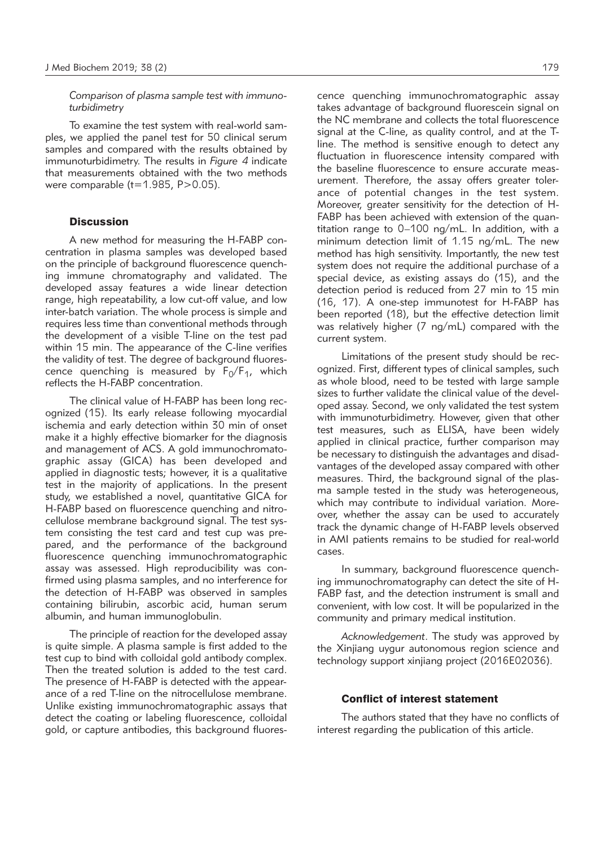*Comparison of plasma sample test with immunoturbidimetry*

To examine the test system with real-world samples, we applied the panel test for 50 clinical serum samples and compared with the results obtained by immunoturbidimetry. The results in *Figure 4* indicate that measurements obtained with the two methods were comparable  $(t=1.985, P>0.05)$ .

# **Discussion**

A new method for measuring the H-FABP concentration in plasma samples was developed based on the principle of background fluorescence quenching immune chromatography and validated. The developed assay features a wide linear detection range, high repeatability, a low cut-off value, and low inter-batch variation. The whole process is simple and requires less time than conventional methods through the development of a visible T-line on the test pad within 15 min. The appearance of the C-line verifies the validity of test. The degree of background fluorescence quenching is measured by  $F_0/F_1$ , which reflects the H-FABP concentration.

The clinical value of H-FABP has been long recognized (15). Its early release following myocardial ischemia and early detection within 30 min of onset make it a highly effective biomarker for the diagnosis and management of ACS. A gold immunochromatographic assay (GICA) has been developed and applied in diagnostic tests; however, it is a qualitative test in the majority of applications. In the present study, we established a novel, quantitative GICA for H-FABP based on fluorescence quenching and nitrocellulose membrane background signal. The test system consisting the test card and test cup was prepared, and the performance of the background fluorescence quenching immunochromatographic assay was assessed. High reproducibility was confirmed using plasma samples, and no interference for the detection of H-FABP was observed in samples containing bilirubin, ascorbic acid, human serum albumin, and human immunoglobulin.

The principle of reaction for the developed assay is quite simple. A plasma sample is first added to the test cup to bind with colloidal gold antibody complex. Then the treated solution is added to the test card. The presence of H-FABP is detected with the appearance of a red T-line on the nitrocellulose membrane. Unlike existing immunochromatographic assays that detect the coating or labeling fluorescence, colloidal gold, or capture antibodies, this background fluorescence quenching immunochromatographic assay takes advantage of background fluorescein signal on the NC membrane and collects the total fluorescence signal at the C-line, as quality control, and at the Tline. The method is sensitive enough to detect any fluctuation in fluorescence intensity compared with the baseline fluorescence to ensure accurate measurement. Therefore, the assay offers greater tolerance of potential changes in the test system. Moreover, greater sensitivity for the detection of H-FABP has been achieved with extension of the quantitation range to 0–100 ng/mL. In addition, with a minimum detection limit of 1.15 ng/mL. The new method has high sensitivity. Importantly, the new test system does not require the additional purchase of a special device, as existing assays do (15), and the detection period is reduced from 27 min to 15 min (16, 17). A one-step immunotest for H-FABP has been reported (18), but the effective detection limit was relatively higher (7 ng/mL) compared with the current system.

Limitations of the present study should be recognized. First, different types of clinical samples, such as whole blood, need to be tested with large sample sizes to further validate the clinical value of the developed assay. Second, we only validated the test system with immunoturbidimetry. However, given that other test measures, such as ELISA, have been widely applied in clinical practice, further comparison may be necessary to distinguish the advantages and disadvantages of the developed assay compared with other measures. Third, the background signal of the plasma sample tested in the study was heterogeneous, which may contribute to individual variation. Moreover, whether the assay can be used to accurately track the dynamic change of H-FABP levels observed in AMI patients remains to be studied for real-world cases.

In summary, background fluorescence quenching immunochromatography can detect the site of H-FABP fast, and the detection instrument is small and convenient, with low cost. It will be popularized in the community and primary medical institution.

*Acknowledgement*. The study was approved by the Xinjiang uygur autonomous region science and technology support xinjiang project (2016E02036).

## Conflict of interest statement

The authors stated that they have no conflicts of interest regarding the publication of this article.